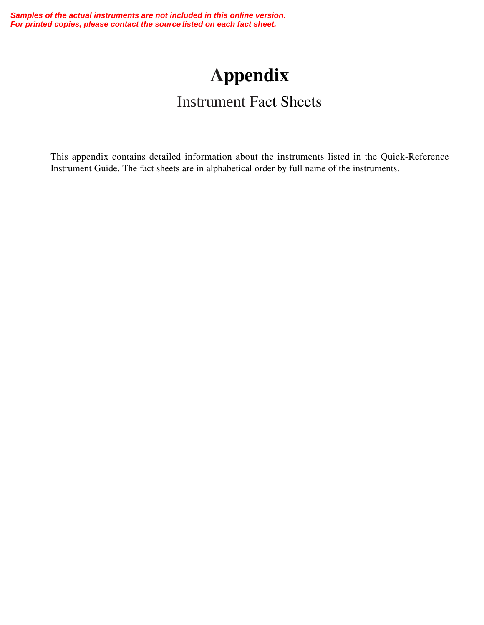# **Appendix**

## Instrument Fact Sheets

This appendix contains detailed information about the instruments listed in the Quick-Reference Instrument Guide. The fact sheets are in alphabetical order by full name of the instruments.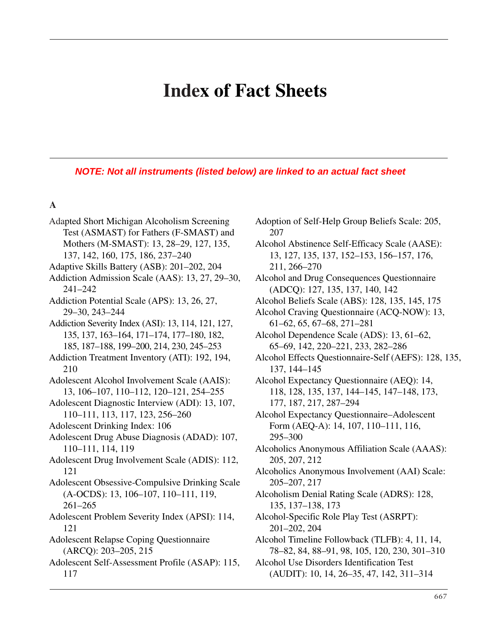## **Index of Fact Sheets**

*NOTE: Not all instruments (listed below) are linked to an actual fact sheet*

#### **A**

Adapted Short Michigan Alcoholism Screening Test (ASMAST) for Fathers (F-SMAST) and Mothers (M-SMAST): 13, 28–29, 127, 135, 137, 142, 160, 175, 186, 237–240 Adaptive Skills Battery (ASB): 201–202, 204 Addiction Admission Scale (AAS): 13, 27, 29–30, 241–242 Addiction Potential Scale (APS): 13, 26, 27, 29–30, 243–244 Addiction Severity Index (ASI): 13, 114, 121, 127, 135, 137, 163–164, 171–174, 177–180, 182, 185, 187–188, 199–200, 214, 230, 245–253 Addiction Treatment Inventory (ATI): 192, 194, 210 Adolescent Alcohol Involvement Scale (AAIS): 13, 106–107, 110–112, 120–121, 254–255 Adolescent Diagnostic Interview (ADI): 13, 107, 110–111, 113, 117, 123, 256–260 Adolescent Drinking Index: 106 Adolescent Drug Abuse Diagnosis (ADAD): 107, 110–111, 114, 119 Adolescent Drug Involvement Scale (ADIS): 112, 121 Adolescent Obsessive-Compulsive Drinking Scale (A-OCDS): 13, 106–107, 110–111, 119, 261–265 Adolescent Problem Severity Index (APSI): 114, 121 Adolescent Relapse Coping Questionnaire (ARCQ): 203–205, 215 Adolescent Self-Assessment Profile (ASAP): 115, 117

- Adoption of Self-Help Group Beliefs Scale: 205, 207
- Alcohol Abstinence Self-Efficacy Scale (AASE): 13, 127, 135, 137, 152–153, 156–157, 176, 211, 266–270
- Alcohol and Drug Consequences Questionnaire (ADCQ): 127, 135, 137, 140, 142
- Alcohol Beliefs Scale (ABS): 128, 135, 145, 175
- Alcohol Craving Questionnaire (ACQ-NOW): 13, 61–62, 65, 67–68, 271–281
- Alcohol Dependence Scale (ADS): 13, 61–62, 65–69, 142, 220–221, 233, 282–286
- Alcohol Effects Questionnaire-Self (AEFS): 128, 135, 137, 144–145
- Alcohol Expectancy Questionnaire (AEQ): 14, 118, 128, 135, 137, 144–145, 147–148, 173, 177, 187, 217, 287–294
- Alcohol Expectancy Questionnaire–Adolescent Form (AEQ-A): 14, 107, 110–111, 116, 295–300
- Alcoholics Anonymous Affiliation Scale (AAAS): 205, 207, 212
- Alcoholics Anonymous Involvement (AAI) Scale: 205–207, 217
- Alcoholism Denial Rating Scale (ADRS): 128, 135, 137–138, 173
- Alcohol-Specific Role Play Test (ASRPT): 201–202, 204
- Alcohol Timeline Followback (TLFB): 4, 11, 14, 78–82, 84, 88–91, 98, 105, 120, 230, 301–310

Alcohol Use Disorders Identification Test (AUDIT): 10, 14, 26–35, 47, 142, 311–314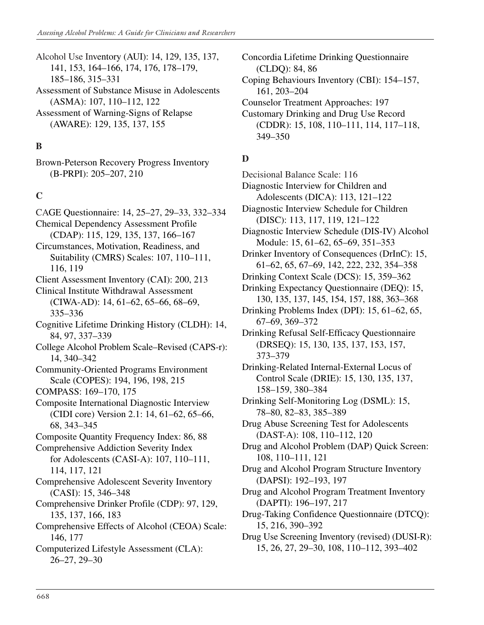Alcohol Use Inventory (AUI): 14, 129, 135, 137, 141, 153, 164–166, 174, 176, 178–179, 185–186, 315–331 Assessment of Substance Misuse in Adolescents

- (ASMA): 107, 110–112, 122
- Assessment of Warning-Signs of Relapse (AWARE): 129, 135, 137, 155

## **B**

Brown-Peterson Recovery Progress Inventory (B-PRPI): 205–207, 210

## **C**

- CAGE Questionnaire: 14, 25–27, 29–33, 332–334 Chemical Dependency Assessment Profile
- (CDAP): 115, 129, 135, 137, 166–167

Circumstances, Motivation, Readiness, and Suitability (CMRS) Scales: 107, 110–111, 116, 119

Client Assessment Inventory (CAI): 200, 213

Clinical Institute Withdrawal Assessment (CIWA-AD): 14, 61–62, 65–66, 68–69, 335–336

Cognitive Lifetime Drinking History (CLDH): 14, 84, 97, 337–339

College Alcohol Problem Scale–Revised (CAPS-r): 14, 340–342

Community-Oriented Programs Environment Scale (COPES): 194, 196, 198, 215

- COMPASS: 169–170, 175
- Composite International Diagnostic Interview (CIDI core) Version 2.1: 14, 61–62, 65–66, 68, 343–345
- Composite Quantity Frequency Index: 86, 88
- Comprehensive Addiction Severity Index for Adolescents (CASI-A): 107, 110–111, 114, 117, 121
- Comprehensive Adolescent Severity Inventory (CASI): 15, 346–348
- Comprehensive Drinker Profile (CDP): 97, 129, 135, 137, 166, 183
- Comprehensive Effects of Alcohol (CEOA) Scale: 146, 177

Computerized Lifestyle Assessment (CLA): 26–27, 29–30

Concordia Lifetime Drinking Questionnaire (CLDQ): 84, 86

Coping Behaviours Inventory (CBI): 154–157, 161, 203–204

- Counselor Treatment Approaches: 197
- Customary Drinking and Drug Use Record (CDDR): 15, 108, 110–111, 114, 117–118, 349–350

#### **D**

Decisional Balance Scale: 116

- Diagnostic Interview for Children and Adolescents (DICA): 113, 121–122
- Diagnostic Interview Schedule for Children (DISC): 113, 117, 119, 121–122
- Diagnostic Interview Schedule (DIS-IV) Alcohol Module: 15, 61–62, 65–69, 351–353
- Drinker Inventory of Consequences (DrInC): 15, 61–62, 65, 67–69, 142, 222, 232, 354–358
- Drinking Context Scale (DCS): 15, 359–362
- Drinking Expectancy Questionnaire (DEQ): 15, 130, 135, 137, 145, 154, 157, 188, 363–368
- Drinking Problems Index (DPI): 15, 61–62, 65, 67–69, 369–372
- Drinking Refusal Self-Efficacy Questionnaire (DRSEQ): 15, 130, 135, 137, 153, 157, 373–379

Drinking-Related Internal-External Locus of Control Scale (DRIE): 15, 130, 135, 137, 158–159, 380–384

Drinking Self-Monitoring Log (DSML): 15, 78–80, 82–83, 385–389

Drug Abuse Screening Test for Adolescents (DAST-A): 108, 110–112, 120

Drug and Alcohol Problem (DAP) Quick Screen: 108, 110–111, 121

Drug and Alcohol Program Structure Inventory (DAPSI): 192–193, 197

Drug and Alcohol Program Treatment Inventory (DAPTI): 196–197, 217

Drug-Taking Confidence Questionnaire (DTCQ): 15, 216, 390–392

Drug Use Screening Inventory (revised) (DUSI-R): 15, 26, 27, 29–30, 108, 110–112, 393–402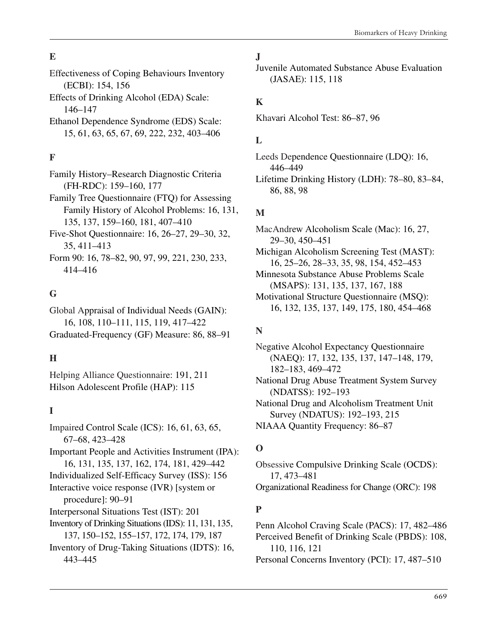## **E**

- Effectiveness of Coping Behaviours Inventory (ECBI): 154, 156
- Effects of Drinking Alcohol (EDA) Scale: 146–147
- Ethanol Dependence Syndrome (EDS) Scale: 15, 61, 63, 65, 67, 69, 222, 232, 403–406

## **F**

- Family History–Research Diagnostic Criteria (FH-RDC): 159–160, 177
- Family Tree Questionnaire (FTQ) for Assessing Family History of Alcohol Problems: 16, 131, 135, 137, 159–160, 181, 407–410
- Five-Shot Questionnaire: 16, 26–27, 29–30, 32, 35, 411–413
- Form 90: 16, 78–82, 90, 97, 99, 221, 230, 233, 414–416

#### **G**

Global Appraisal of Individual Needs (GAIN): 16, 108, 110–111, 115, 119, 417–422 Graduated-Frequency (GF) Measure: 86, 88–91

## **H**

Helping Alliance Questionnaire: 191, 211 Hilson Adolescent Profile (HAP): 115

## **I**

Impaired Control Scale (ICS): 16, 61, 63, 65, 67–68, 423–428 Important People and Activities Instrument (IPA): 16, 131, 135, 137, 162, 174, 181, 429–442 Individualized Self-Efficacy Survey (ISS): 156 Interactive voice response (IVR) [system or procedure]: 90–91 Interpersonal Situations Test (IST): 201 Inventory of Drinking Situations (IDS): 11, 131, 135, 137, 150–152, 155–157, 172, 174, 179, 187 Inventory of Drug-Taking Situations (IDTS): 16, 443–445

#### **J**

Juvenile Automated Substance Abuse Evaluation (JASAE): 115, 118

#### **K**

Khavari Alcohol Test: 86–87, 96

#### **L**

Leeds Dependence Questionnaire (LDQ): 16, 446–449 Lifetime Drinking History (LDH): 78–80, 83–84,

#### **M**

86, 88, 98

- MacAndrew Alcoholism Scale (Mac): 16, 27, 29–30, 450–451
- Michigan Alcoholism Screening Test (MAST): 16, 25–26, 28–33, 35, 98, 154, 452–453
- Minnesota Substance Abuse Problems Scale (MSAPS): 131, 135, 137, 167, 188
- Motivational Structure Questionnaire (MSQ): 16, 132, 135, 137, 149, 175, 180, 454–468

## **N**

Negative Alcohol Expectancy Questionnaire (NAEQ): 17, 132, 135, 137, 147–148, 179, 182–183, 469–472 National Drug Abuse Treatment System Survey (NDATSS): 192–193 National Drug and Alcoholism Treatment Unit Survey (NDATUS): 192–193, 215

NIAAA Quantity Frequency: 86–87

## **O**

Obsessive Compulsive Drinking Scale (OCDS): 17, 473–481 Organizational Readiness for Change (ORC): 198

## **P**

Penn Alcohol Craving Scale (PACS): 17, 482–486 Perceived Benefit of Drinking Scale (PBDS): 108, 110, 116, 121 Personal Concerns Inventory (PCI): 17, 487–510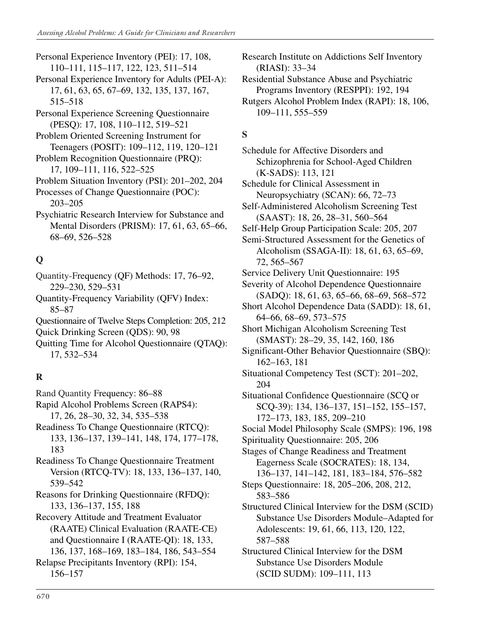- Personal Experience Inventory (PEI): 17, 108, 110–111, 115–117, 122, 123, 511–514
- Personal Experience Inventory for Adults (PEI-A): 17, 61, 63, 65, 67–69, 132, 135, 137, 167, 515–518
- Personal Experience Screening Questionnaire (PESQ): 17, 108, 110–112, 519–521
- Problem Oriented Screening Instrument for Teenagers (POSIT): 109–112, 119, 120–121
- Problem Recognition Questionnaire (PRQ): 17, 109–111, 116, 522–525
- Problem Situation Inventory (PSI): 201–202, 204
- Processes of Change Questionnaire (POC): 203–205
- Psychiatric Research Interview for Substance and Mental Disorders (PRISM): 17, 61, 63, 65–66, 68–69, 526–528

## **Q**

- Quantity-Frequency (QF) Methods: 17, 76–92, 229–230, 529–531
- Quantity-Frequency Variability (QFV) Index: 85–87
- Questionnaire of Twelve Steps Completion: 205, 212

Quick Drinking Screen (QDS): 90, 98

Quitting Time for Alcohol Questionnaire (QTAQ): 17, 532–534

## **R**

- Rand Quantity Frequency: 86–88
- Rapid Alcohol Problems Screen (RAPS4): 17, 26, 28–30, 32, 34, 535–538
- Readiness To Change Questionnaire (RTCQ): 133, 136–137, 139–141, 148, 174, 177–178, 183
- Readiness To Change Questionnaire Treatment Version (RTCQ-TV): 18, 133, 136–137, 140, 539–542
- Reasons for Drinking Questionnaire (RFDQ): 133, 136–137, 155, 188
- Recovery Attitude and Treatment Evaluator (RAATE) Clinical Evaluation (RAATE-CE) and Questionnaire I (RAATE-QI): 18, 133,
- 136, 137, 168–169, 183–184, 186, 543–554 Relapse Precipitants Inventory (RPI): 154,

156–157

- Research Institute on Addictions Self Inventory (RIASI): 33–34
- Residential Substance Abuse and Psychiatric Programs Inventory (RESPPI): 192, 194
- Rutgers Alcohol Problem Index (RAPI): 18, 106, 109–111, 555–559

## **S**

- Schedule for Affective Disorders and Schizophrenia for School-Aged Children (K-SADS): 113, 121
- Schedule for Clinical Assessment in Neuropsychiatry (SCAN): 66, 72–73
- Self-Administered Alcoholism Screening Test (SAAST): 18, 26, 28–31, 560–564
- Self-Help Group Participation Scale: 205, 207
- Semi-Structured Assessment for the Genetics of Alcoholism (SSAGA-II): 18, 61, 63, 65–69, 72, 565–567
- Service Delivery Unit Questionnaire: 195
- Severity of Alcohol Dependence Questionnaire (SADQ): 18, 61, 63, 65–66, 68–69, 568–572
- Short Alcohol Dependence Data (SADD): 18, 61, 64–66, 68–69, 573–575
- Short Michigan Alcoholism Screening Test (SMAST): 28–29, 35, 142, 160, 186
- Significant-Other Behavior Questionnaire (SBQ): 162–163, 181
- Situational Competency Test (SCT): 201–202, 204
- Situational Confidence Questionnaire (SCQ or SCQ-39): 134, 136–137, 151–152, 155–157, 172–173, 183, 185, 209–210
- Social Model Philosophy Scale (SMPS): 196, 198
- Spirituality Questionnaire: 205, 206
- Stages of Change Readiness and Treatment Eagerness Scale (SOCRATES): 18, 134, 136–137, 141–142, 181, 183–184, 576–582
- Steps Questionnaire: 18, 205–206, 208, 212, 583–586
- Structured Clinical Interview for the DSM (SCID) Substance Use Disorders Module–Adapted for Adolescents: 19, 61, 66, 113, 120, 122, 587–588
- Structured Clinical Interview for the DSM Substance Use Disorders Module (SCID SUDM): 109–111, 113